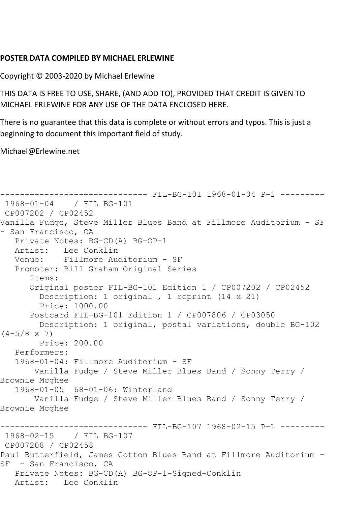## **POSTER DATA COMPILED BY MICHAEL ERLEWINE**

Copyright © 2003-2020 by Michael Erlewine

THIS DATA IS FREE TO USE, SHARE, (AND ADD TO), PROVIDED THAT CREDIT IS GIVEN TO MICHAEL ERLEWINE FOR ANY USE OF THE DATA ENCLOSED HERE.

There is no guarantee that this data is complete or without errors and typos. This is just a beginning to document this important field of study.

Michael@Erlewine.net

```
------------------------------ FIL-BG-101 1968-01-04 P-1 ---------
1968-01-04 / FIL BG-101
CP007202 / CP02452
Vanilla Fudge, Steve Miller Blues Band at Fillmore Auditorium - SF 
- San Francisco, CA
   Private Notes: BG-CD(A) BG-OP-1
   Artist: Lee Conklin
   Venue: Fillmore Auditorium - SF
   Promoter: Bill Graham Original Series
      Items:
      Original poster FIL-BG-101 Edition 1 / CP007202 / CP02452
         Description: 1 original , 1 reprint (14 x 21)
         Price: 1000.00
      Postcard FIL-BG-101 Edition 1 / CP007806 / CP03050
        Description: 1 original, postal variations, double BG-102 
(4-5/8 \times 7) Price: 200.00
   Performers:
   1968-01-04: Fillmore Auditorium - SF
       Vanilla Fudge / Steve Miller Blues Band / Sonny Terry / 
Brownie Mcghee
   1968-01-05 68-01-06: Winterland
       Vanilla Fudge / Steve Miller Blues Band / Sonny Terry / 
Brownie Mcghee
                        ------- FIL-BG-107 1968-02-15 P-1 ---------
1968-02-15 / FIL BG-107
CP007208 / CP02458
Paul Butterfield, James Cotton Blues Band at Fillmore Auditorium -
SF - San Francisco, CA
   Private Notes: BG-CD(A) BG-OP-1-Signed-Conklin
   Artist: Lee Conklin
```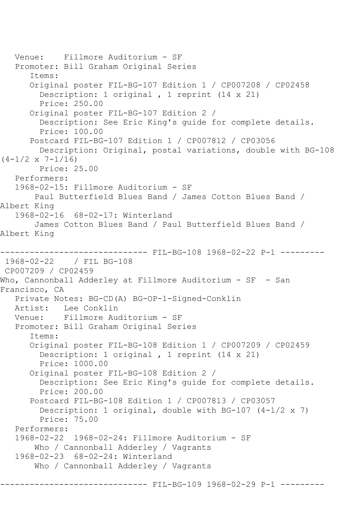```
 Venue: Fillmore Auditorium - SF
   Promoter: Bill Graham Original Series
       Items:
       Original poster FIL-BG-107 Edition 1 / CP007208 / CP02458
         Description: 1 original , 1 reprint (14 x 21)
         Price: 250.00
       Original poster FIL-BG-107 Edition 2 / 
         Description: See Eric King's guide for complete details.
         Price: 100.00
       Postcard FIL-BG-107 Edition 1 / CP007812 / CP03056
         Description: Original, postal variations, double with BG-108 
(4-1/2 \times 7-1/16) Price: 25.00
   Performers:
   1968-02-15: Fillmore Auditorium - SF
        Paul Butterfield Blues Band / James Cotton Blues Band / 
Albert King
   1968-02-16 68-02-17: Winterland
        James Cotton Blues Band / Paul Butterfield Blues Band / 
Albert King
                         ------ FIL-BG-108 1968-02-22 P-1 ---------
1968-02-22 / FIL BG-108
CP007209 / CP02459
Who, Cannonball Adderley at Fillmore Auditorium - SF - San 
Francisco, CA
   Private Notes: BG-CD(A) BG-OP-1-Signed-Conklin
   Artist: Lee Conklin
   Venue: Fillmore Auditorium - SF
   Promoter: Bill Graham Original Series
       Items:
       Original poster FIL-BG-108 Edition 1 / CP007209 / CP02459
         Description: 1 original , 1 reprint (14 x 21)
         Price: 1000.00
       Original poster FIL-BG-108 Edition 2 / 
         Description: See Eric King's guide for complete details.
         Price: 200.00
       Postcard FIL-BG-108 Edition 1 / CP007813 / CP03057
         Description: 1 original, double with BG-107 (4-1/2 x 7)
         Price: 75.00
   Performers:
   1968-02-22 1968-02-24: Fillmore Auditorium - SF
        Who / Cannonball Adderley / Vagrants
   1968-02-23 68-02-24: Winterland
        Who / Cannonball Adderley / Vagrants
```
------------------------------ FIL-BG-109 1968-02-29 P-1 ---------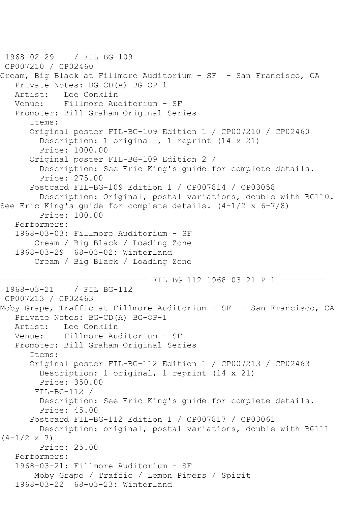```
1968-02-29 / FIL BG-109
CP007210 / CP02460
Cream, Big Black at Fillmore Auditorium - SF - San Francisco, CA
    Private Notes: BG-CD(A) BG-OP-1
   Artist: Lee Conklin
   Venue: Fillmore Auditorium - SF
    Promoter: Bill Graham Original Series
       Items:
       Original poster FIL-BG-109 Edition 1 / CP007210 / CP02460
         Description: 1 original , 1 reprint (14 x 21)
         Price: 1000.00
       Original poster FIL-BG-109 Edition 2 / 
         Description: See Eric King's guide for complete details.
         Price: 275.00
       Postcard FIL-BG-109 Edition 1 / CP007814 / CP03058
         Description: Original, postal variations, double with BG110. 
See Eric King's guide for complete details. (4-1/2 x 6-7/8)
         Price: 100.00
    Performers:
    1968-03-03: Fillmore Auditorium - SF
        Cream / Big Black / Loading Zone
    1968-03-29 68-03-02: Winterland
        Cream / Big Black / Loading Zone
                    ------------------------------ FIL-BG-112 1968-03-21 P-1 ---------
1968-03-21 / FIL BG-112
CP007213 / CP02463
Moby Grape, Traffic at Fillmore Auditorium - SF - San Francisco, CA
    Private Notes: BG-CD(A) BG-OP-1
   Artist: Lee Conklin
   Venue: Fillmore Auditorium - SF
    Promoter: Bill Graham Original Series
       Items:
       Original poster FIL-BG-112 Edition 1 / CP007213 / CP02463
         Description: 1 original, 1 reprint (14 x 21)
         Price: 350.00
        FIL-BG-112 / 
         Description: See Eric King's guide for complete details.
         Price: 45.00
       Postcard FIL-BG-112 Edition 1 / CP007817 / CP03061
         Description: original, postal variations, double with BG111 
(4-1/2 \times 7) Price: 25.00
    Performers:
    1968-03-21: Fillmore Auditorium - SF
        Moby Grape / Traffic / Lemon Pipers / Spirit
    1968-03-22 68-03-23: Winterland
```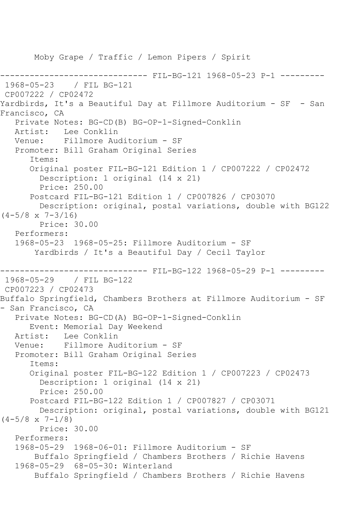Moby Grape / Traffic / Lemon Pipers / Spirit ------------------------------ FIL-BG-121 1968-05-23 P-1 --------- 1968-05-23 / FIL BG-121 CP007222 / CP02472 Yardbirds, It's a Beautiful Day at Fillmore Auditorium - SF - San Francisco, CA Private Notes: BG-CD(B) BG-OP-1-Signed-Conklin Artist: Lee Conklin Venue: Fillmore Auditorium - SF Promoter: Bill Graham Original Series Items: Original poster FIL-BG-121 Edition 1 / CP007222 / CP02472 Description: 1 original (14 x 21) Price: 250.00 Postcard FIL-BG-121 Edition 1 / CP007826 / CP03070 Description: original, postal variations, double with BG122  $(4-5/8 \times 7-3/16)$  Price: 30.00 Performers: 1968-05-23 1968-05-25: Fillmore Auditorium - SF Yardbirds / It's a Beautiful Day / Cecil Taylor ------------------------------ FIL-BG-122 1968-05-29 P-1 --------- 1968-05-29 / FIL BG-122 CP007223 / CP02473 Buffalo Springfield, Chambers Brothers at Fillmore Auditorium - SF - San Francisco, CA Private Notes: BG-CD(A) BG-OP-1-Signed-Conklin Event: Memorial Day Weekend Artist: Lee Conklin<br>Venue: Fillmore Aud Venue: Fillmore Auditorium - SF Promoter: Bill Graham Original Series Items: Original poster FIL-BG-122 Edition 1 / CP007223 / CP02473 Description: 1 original (14 x 21) Price: 250.00 Postcard FIL-BG-122 Edition 1 / CP007827 / CP03071 Description: original, postal variations, double with BG121  $(4-5/8 \times 7-1/8)$  Price: 30.00 Performers: 1968-05-29 1968-06-01: Fillmore Auditorium - SF Buffalo Springfield / Chambers Brothers / Richie Havens 1968-05-29 68-05-30: Winterland Buffalo Springfield / Chambers Brothers / Richie Havens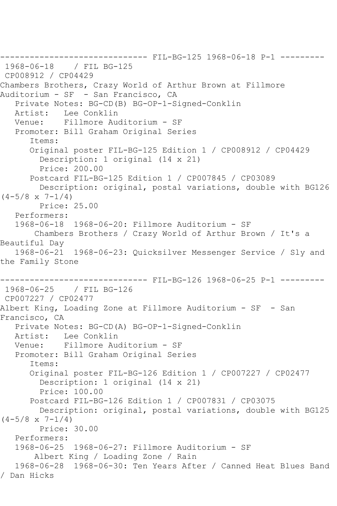------------------------------ FIL-BG-125 1968-06-18 P-1 --------- 1968-06-18 / FIL BG-125 CP008912 / CP04429 Chambers Brothers, Crazy World of Arthur Brown at Fillmore Auditorium - SF - San Francisco, CA Private Notes: BG-CD(B) BG-OP-1-Signed-Conklin Artist: Lee Conklin Venue: Fillmore Auditorium - SF Promoter: Bill Graham Original Series Items: Original poster FIL-BG-125 Edition 1 / CP008912 / CP04429 Description: 1 original (14 x 21) Price: 200.00 Postcard FIL-BG-125 Edition 1 / CP007845 / CP03089 Description: original, postal variations, double with BG126  $(4-5/8 \times 7-1/4)$  Price: 25.00 Performers: 1968-06-18 1968-06-20: Fillmore Auditorium - SF Chambers Brothers / Crazy World of Arthur Brown / It's a Beautiful Day 1968-06-21 1968-06-23: Quicksilver Messenger Service / Sly and the Family Stone ------- FIL-BG-126 1968-06-25 P-1 ---------1968-06-25 / FIL BG-126 CP007227 / CP02477 Albert King, Loading Zone at Fillmore Auditorium - SF - San Francisco, CA Private Notes: BG-CD(A) BG-OP-1-Signed-Conklin Artist: Lee Conklin Venue: Fillmore Auditorium - SF Promoter: Bill Graham Original Series Items: Original poster FIL-BG-126 Edition 1 / CP007227 / CP02477 Description: 1 original (14 x 21) Price: 100.00 Postcard FIL-BG-126 Edition 1 / CP007831 / CP03075 Description: original, postal variations, double with BG125  $(4-5/8 \times 7-1/4)$  Price: 30.00 Performers: 1968-06-25 1968-06-27: Fillmore Auditorium - SF Albert King / Loading Zone / Rain 1968-06-28 1968-06-30: Ten Years After / Canned Heat Blues Band / Dan Hicks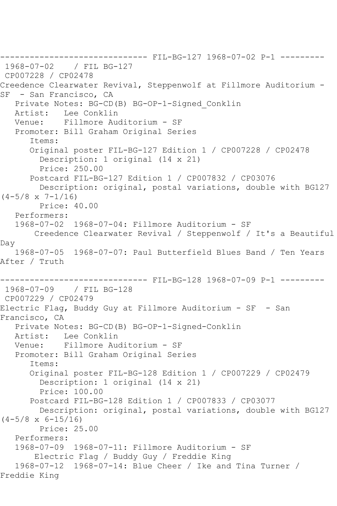------------------------------ FIL-BG-127 1968-07-02 P-1 --------- 1968-07-02 / FIL BG-127 CP007228 / CP02478 Creedence Clearwater Revival, Steppenwolf at Fillmore Auditorium - SF - San Francisco, CA Private Notes: BG-CD(B) BG-OP-1-Signed\_Conklin Artist: Lee Conklin Venue: Fillmore Auditorium - SF Promoter: Bill Graham Original Series Items: Original poster FIL-BG-127 Edition 1 / CP007228 / CP02478 Description: 1 original (14 x 21) Price: 250.00 Postcard FIL-BG-127 Edition 1 / CP007832 / CP03076 Description: original, postal variations, double with BG127  $(4-5/8 \times 7-1/16)$  Price: 40.00 Performers: 1968-07-02 1968-07-04: Fillmore Auditorium - SF Creedence Clearwater Revival / Steppenwolf / It's a Beautiful Day 1968-07-05 1968-07-07: Paul Butterfield Blues Band / Ten Years After / Truth ------- FIL-BG-128 1968-07-09 P-1 ---------1968-07-09 / FIL BG-128 CP007229 / CP02479 Electric Flag, Buddy Guy at Fillmore Auditorium - SF - San Francisco, CA Private Notes: BG-CD(B) BG-OP-1-Signed-Conklin Artist: Lee Conklin Venue: Fillmore Auditorium - SF Promoter: Bill Graham Original Series Items: Original poster FIL-BG-128 Edition 1 / CP007229 / CP02479 Description: 1 original (14 x 21) Price: 100.00 Postcard FIL-BG-128 Edition 1 / CP007833 / CP03077 Description: original, postal variations, double with BG127  $(4-5/8 \times 6-15/16)$  Price: 25.00 Performers: 1968-07-09 1968-07-11: Fillmore Auditorium - SF Electric Flag / Buddy Guy / Freddie King 1968-07-12 1968-07-14: Blue Cheer / Ike and Tina Turner / Freddie King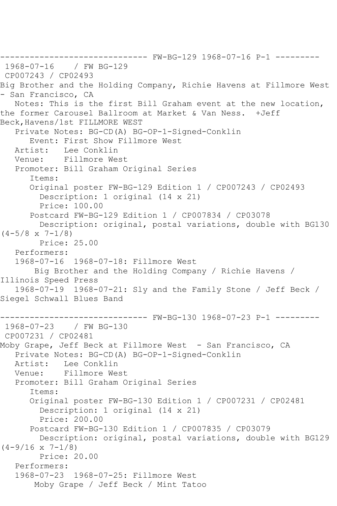```
------------------------------ FW-BG-129 1968-07-16 P-1 ---------
1968-07-16 / FW BG-129
CP007243 / CP02493
Big Brother and the Holding Company, Richie Havens at Fillmore West 
- San Francisco, CA
   Notes: This is the first Bill Graham event at the new location, 
the former Carousel Ballroom at Market & Van Ness. +Jeff 
Beck,Havens/1st FILLMORE WEST
    Private Notes: BG-CD(A) BG-OP-1-Signed-Conklin
  Event: First Show Fillmore West<br>Artist: Lee Conklin
  Artist: Lee Conklin<br>Venue: Fillmore We:
            Fillmore West
    Promoter: Bill Graham Original Series
       Items:
       Original poster FW-BG-129 Edition 1 / CP007243 / CP02493
         Description: 1 original (14 x 21)
         Price: 100.00
       Postcard FW-BG-129 Edition 1 / CP007834 / CP03078
         Description: original, postal variations, double with BG130 
(4-5/8 \times 7-1/8) Price: 25.00
    Performers:
    1968-07-16 1968-07-18: Fillmore West
        Big Brother and the Holding Company / Richie Havens / 
Illinois Speed Press
    1968-07-19 1968-07-21: Sly and the Family Stone / Jeff Beck / 
Siegel Schwall Blues Band
------------------------------ FW-BG-130 1968-07-23 P-1 ---------
1968-07-23 / FW BG-130
CP007231 / CP02481
Moby Grape, Jeff Beck at Fillmore West - San Francisco, CA
    Private Notes: BG-CD(A) BG-OP-1-Signed-Conklin
   Artist: Lee Conklin
   Venue: Fillmore West
    Promoter: Bill Graham Original Series
       Items:
       Original poster FW-BG-130 Edition 1 / CP007231 / CP02481
         Description: 1 original (14 x 21)
         Price: 200.00
       Postcard FW-BG-130 Edition 1 / CP007835 / CP03079
         Description: original, postal variations, double with BG129 
(4-9/16 \times 7-1/8) Price: 20.00
    Performers:
    1968-07-23 1968-07-25: Fillmore West
        Moby Grape / Jeff Beck / Mint Tatoo
```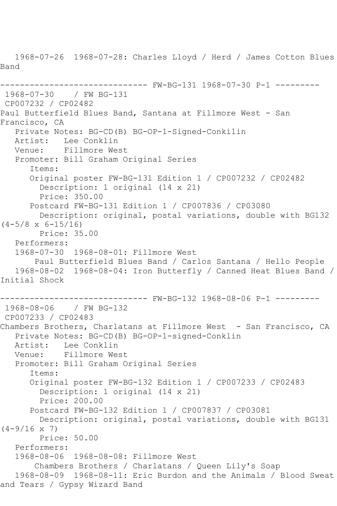1968-07-26 1968-07-28: Charles Lloyd / Herd / James Cotton Blues Band ------------------------------ FW-BG-131 1968-07-30 P-1 --------- 1968-07-30 / FW BG-131 CP007232 / CP02482 Paul Butterfield Blues Band, Santana at Fillmore West - San Francisco, CA Private Notes: BG-CD(B) BG-OP-1-Signed-Conkilin Artist: Lee Conklin Venue: Fillmore West Promoter: Bill Graham Original Series Items: Original poster FW-BG-131 Edition 1 / CP007232 / CP02482 Description: 1 original (14 x 21) Price: 350.00 Postcard FW-BG-131 Edition 1 / CP007836 / CP03080 Description: original, postal variations, double with BG132  $(4-5/8 \times 6-15/16)$  Price: 35.00 Performers: 1968-07-30 1968-08-01: Fillmore West Paul Butterfield Blues Band / Carlos Santana / Hello People 1968-08-02 1968-08-04: Iron Butterfly / Canned Heat Blues Band / Initial Shock ------------------------------ FW-BG-132 1968-08-06 P-1 --------- 1968-08-06 / FW BG-132 CP007233 / CP02483 Chambers Brothers, Charlatans at Fillmore West - San Francisco, CA Private Notes: BG-CD(B) BG-OP-1-signed-Conklin Artist: Lee Conklin<br>Venue: Fillmore We Fillmore West Promoter: Bill Graham Original Series Items: Original poster FW-BG-132 Edition 1 / CP007233 / CP02483 Description: 1 original (14 x 21) Price: 200.00 Postcard FW-BG-132 Edition 1 / CP007837 / CP03081 Description: original, postal variations, double with BG131  $(4-9/16 \times 7)$  Price: 50.00 Performers: 1968-08-06 1968-08-08: Fillmore West Chambers Brothers / Charlatans / Queen Lily's Soap 1968-08-09 1968-08-11: Eric Burdon and the Animals / Blood Sweat and Tears / Gypsy Wizard Band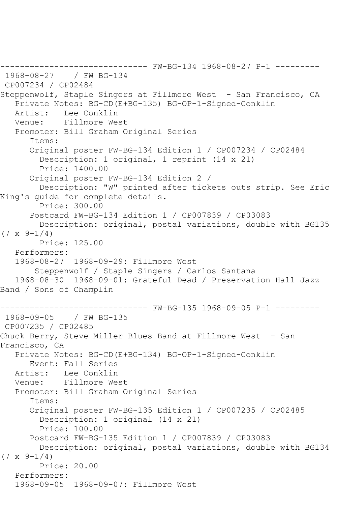------------------------------ FW-BG-134 1968-08-27 P-1 --------- 1968-08-27 / FW BG-134 CP007234 / CP02484 Steppenwolf, Staple Singers at Fillmore West - San Francisco, CA Private Notes: BG-CD(E+BG-135) BG-OP-1-Signed-Conklin Artist: Lee Conklin Venue: Fillmore West Promoter: Bill Graham Original Series Items: Original poster FW-BG-134 Edition 1 / CP007234 / CP02484 Description: 1 original, 1 reprint (14 x 21) Price: 1400.00 Original poster FW-BG-134 Edition 2 / Description: "W" printed after tickets outs strip. See Eric King's guide for complete details. Price: 300.00 Postcard FW-BG-134 Edition 1 / CP007839 / CP03083 Description: original, postal variations, double with BG135  $(7 \times 9 - 1/4)$  Price: 125.00 Performers: 1968-08-27 1968-09-29: Fillmore West Steppenwolf / Staple Singers / Carlos Santana 1968-08-30 1968-09-01: Grateful Dead / Preservation Hall Jazz Band / Sons of Champlin ---------- FW-BG-135 1968-09-05 P-1 ---------1968-09-05 / FW BG-135 CP007235 / CP02485 Chuck Berry, Steve Miller Blues Band at Fillmore West - San Francisco, CA Private Notes: BG-CD(E+BG-134) BG-OP-1-Signed-Conklin Event: Fall Series Artist: Lee Conklin Venue: Fillmore West Promoter: Bill Graham Original Series Items: Original poster FW-BG-135 Edition 1 / CP007235 / CP02485 Description: 1 original (14 x 21) Price: 100.00 Postcard FW-BG-135 Edition 1 / CP007839 / CP03083 Description: original, postal variations, double with BG134  $(7 \times 9-1/4)$  Price: 20.00 Performers: 1968-09-05 1968-09-07: Fillmore West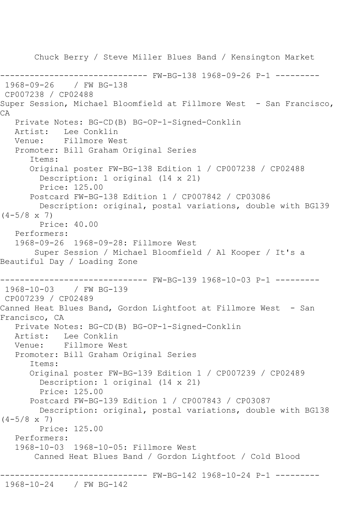Chuck Berry / Steve Miller Blues Band / Kensington Market ------------------------------ FW-BG-138 1968-09-26 P-1 --------- 1968-09-26 / FW BG-138 CP007238 / CP02488 Super Session, Michael Bloomfield at Fillmore West - San Francisco, CA Private Notes: BG-CD(B) BG-OP-1-Signed-Conklin Lee Conklin Venue: Fillmore West Promoter: Bill Graham Original Series Items: Original poster FW-BG-138 Edition 1 / CP007238 / CP02488 Description: 1 original (14 x 21) Price: 125.00 Postcard FW-BG-138 Edition 1 / CP007842 / CP03086 Description: original, postal variations, double with BG139  $(4-5/8 \times 7)$  Price: 40.00 Performers: 1968-09-26 1968-09-28: Fillmore West Super Session / Michael Bloomfield / Al Kooper / It's a Beautiful Day / Loading Zone ------------------------------ FW-BG-139 1968-10-03 P-1 --------- 1968-10-03 / FW BG-139 CP007239 / CP02489 Canned Heat Blues Band, Gordon Lightfoot at Fillmore West - San Francisco, CA Private Notes: BG-CD(B) BG-OP-1-Signed-Conklin Artist: Lee Conklin Venue: Fillmore West Promoter: Bill Graham Original Series Items: Original poster FW-BG-139 Edition 1 / CP007239 / CP02489 Description: 1 original (14 x 21) Price: 125.00 Postcard FW-BG-139 Edition 1 / CP007843 / CP03087 Description: original, postal variations, double with BG138  $(4-5/8 \times 7)$  Price: 125.00 Performers: 1968-10-03 1968-10-05: Fillmore West Canned Heat Blues Band / Gordon Lightfoot / Cold Blood ------------------------------ FW-BG-142 1968-10-24 P-1 --------- 1968-10-24 / FW BG-142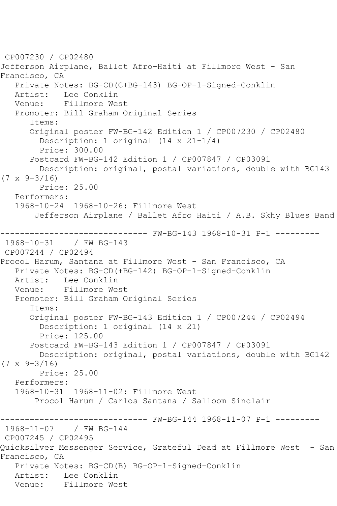CP007230 / CP02480 Jefferson Airplane, Ballet Afro-Haiti at Fillmore West - San Francisco, CA Private Notes: BG-CD(C+BG-143) BG-OP-1-Signed-Conklin Artist: Lee Conklin Venue: Fillmore West Promoter: Bill Graham Original Series Items: Original poster FW-BG-142 Edition 1 / CP007230 / CP02480 Description: 1 original (14 x 21-1/4) Price: 300.00 Postcard FW-BG-142 Edition 1 / CP007847 / CP03091 Description: original, postal variations, double with BG143  $(7 \times 9 - 3/16)$  Price: 25.00 Performers: 1968-10-24 1968-10-26: Fillmore West Jefferson Airplane / Ballet Afro Haiti / A.B. Skhy Blues Band ------------------------------ FW-BG-143 1968-10-31 P-1 --------- 1968-10-31 CP007244 / CP02494 Procol Harum, Santana at Fillmore West - San Francisco, CA Private Notes: BG-CD(+BG-142) BG-OP-1-Signed-Conklin Artist: Lee Conklin<br>Venue: Fillmore We Fillmore West Promoter: Bill Graham Original Series Items: Original poster FW-BG-143 Edition 1 / CP007244 / CP02494 Description: 1 original (14 x 21) Price: 125.00 Postcard FW-BG-143 Edition 1 / CP007847 / CP03091 Description: original, postal variations, double with BG142  $(7 \times 9 - 3/16)$  Price: 25.00 Performers: 1968-10-31 1968-11-02: Fillmore West Procol Harum / Carlos Santana / Salloom Sinclair ------------------------------ FW-BG-144 1968-11-07 P-1 --------- 1968-11-07 / FW BG-144 CP007245 / CP02495 Quicksilver Messenger Service, Grateful Dead at Fillmore West - San Francisco, CA Private Notes: BG-CD(B) BG-OP-1-Signed-Conklin Artist: Lee Conklin Venue: Fillmore West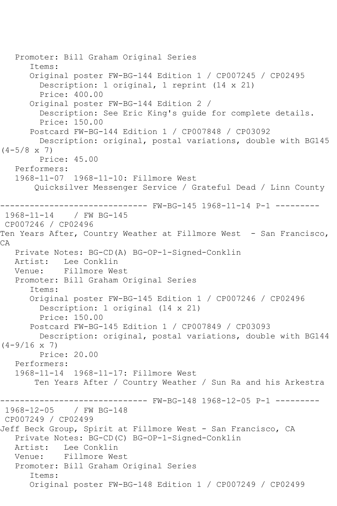Promoter: Bill Graham Original Series Items: Original poster FW-BG-144 Edition 1 / CP007245 / CP02495 Description: 1 original, 1 reprint (14 x 21) Price: 400.00 Original poster FW-BG-144 Edition 2 / Description: See Eric King's guide for complete details. Price: 150.00 Postcard FW-BG-144 Edition 1 / CP007848 / CP03092 Description: original, postal variations, double with BG145  $(4-5/8 \times 7)$  Price: 45.00 Performers: 1968-11-07 1968-11-10: Fillmore West Quicksilver Messenger Service / Grateful Dead / Linn County ------------------------------ FW-BG-145 1968-11-14 P-1 --------- 1968-11-14 / FW BG-145 CP007246 / CP02496 Ten Years After, Country Weather at Fillmore West - San Francisco, CA Private Notes: BG-CD(A) BG-OP-1-Signed-Conklin Artist: Lee Conklin Venue: Fillmore West Promoter: Bill Graham Original Series Items: Original poster FW-BG-145 Edition 1 / CP007246 / CP02496 Description: 1 original (14 x 21) Price: 150.00 Postcard FW-BG-145 Edition 1 / CP007849 / CP03093 Description: original, postal variations, double with BG144  $(4-9/16 \times 7)$  Price: 20.00 Performers: 1968-11-14 1968-11-17: Fillmore West Ten Years After / Country Weather / Sun Ra and his Arkestra ------------------------------ FW-BG-148 1968-12-05 P-1 --------- / FW BG-148 CP007249 / CP02499 Jeff Beck Group, Spirit at Fillmore West - San Francisco, CA Private Notes: BG-CD(C) BG-OP-1-Signed-Conklin Artist: Lee Conklin Venue: Fillmore West Promoter: Bill Graham Original Series Items: Original poster FW-BG-148 Edition 1 / CP007249 / CP02499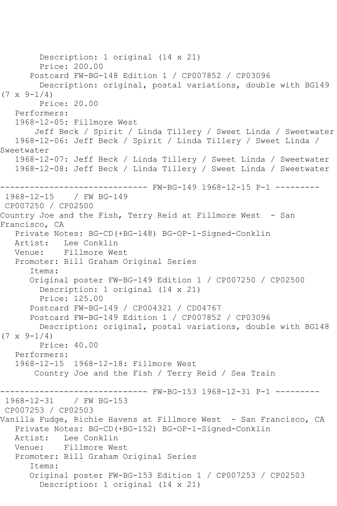Description: 1 original (14 x 21) Price: 200.00 Postcard FW-BG-148 Edition 1 / CP007852 / CP03096 Description: original, postal variations, double with BG149  $(7 \times 9 - 1/4)$  Price: 20.00 Performers: 1968-12-05: Fillmore West Jeff Beck / Spirit / Linda Tillery / Sweet Linda / Sweetwater 1968-12-06: Jeff Beck / Spirit / Linda Tillery / Sweet Linda / Sweetwater 1968-12-07: Jeff Beck / Linda Tillery / Sweet Linda / Sweetwater 1968-12-08: Jeff Beck / Linda Tillery / Sweet Linda / Sweetwater ------------------------------ FW-BG-149 1968-12-15 P-1 --------- 1968-12-15 / FW BG-149 CP007250 / CP02500 Country Joe and the Fish, Terry Reid at Fillmore West - San Francisco, CA Private Notes: BG-CD(+BG-148) BG-OP-1-Signed-Conklin Artist: Lee Conklin Venue: Fillmore West Promoter: Bill Graham Original Series Items: Original poster FW-BG-149 Edition 1 / CP007250 / CP02500 Description: 1 original (14 x 21) Price: 125.00 Postcard FW-BG-149 / CP004321 / CD04767 Postcard FW-BG-149 Edition 1 / CP007852 / CP03096 Description: original, postal variations, double with BG148  $(7 \times 9 - 1/4)$  Price: 40.00 Performers: 1968-12-15 1968-12-18: Fillmore West Country Joe and the Fish / Terry Reid / Sea Train ------------------------------ FW-BG-153 1968-12-31 P-1 --------- 1968-12-31 / FW BG-153 CP007253 / CP02503 Vanilla Fudge, Richie Havens at Fillmore West - San Francisco, CA Private Notes: BG-CD(+BG-152) BG-OP-1-Signed-Conklin Artist: Lee Conklin Venue: Fillmore West Promoter: Bill Graham Original Series Items: Original poster FW-BG-153 Edition 1 / CP007253 / CP02503 Description: 1 original (14 x 21)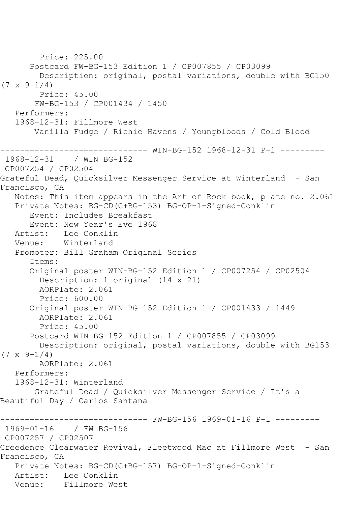Price: 225.00 Postcard FW-BG-153 Edition 1 / CP007855 / CP03099 Description: original, postal variations, double with BG150  $(7 \times 9 - 1/4)$  Price: 45.00 FW-BG-153 / CP001434 / 1450 Performers: 1968-12-31: Fillmore West Vanilla Fudge / Richie Havens / Youngbloods / Cold Blood ------------------------------ WIN-BG-152 1968-12-31 P-1 --------- 1968-12-31 / WIN BG-152 CP007254 / CP02504 Grateful Dead, Quicksilver Messenger Service at Winterland - San Francisco, CA Notes: This item appears in the Art of Rock book, plate no. 2.061 Private Notes: BG-CD(C+BG-153) BG-OP-1-Signed-Conklin Event: Includes Breakfast Event: New Year's Eve 1968 Artist: Lee Conklin Venue: Winterland Promoter: Bill Graham Original Series Items: Original poster WIN-BG-152 Edition 1 / CP007254 / CP02504 Description: 1 original (14 x 21) AORPlate: 2.061 Price: 600.00 Original poster WIN-BG-152 Edition 1 / CP001433 / 1449 AORPlate: 2.061 Price: 45.00 Postcard WIN-BG-152 Edition 1 / CP007855 / CP03099 Description: original, postal variations, double with BG153  $(7 \times 9 - 1/4)$  AORPlate: 2.061 Performers: 1968-12-31: Winterland Grateful Dead / Quicksilver Messenger Service / It's a Beautiful Day / Carlos Santana ------------------------------ FW-BG-156 1969-01-16 P-1 --------- 1969-01-16 / FW BG-156 CP007257 / CP02507 Creedence Clearwater Revival, Fleetwood Mac at Fillmore West - San Francisco, CA Private Notes: BG-CD(C+BG-157) BG-OP-1-Signed-Conklin Artist: Lee Conklin Venue: Fillmore West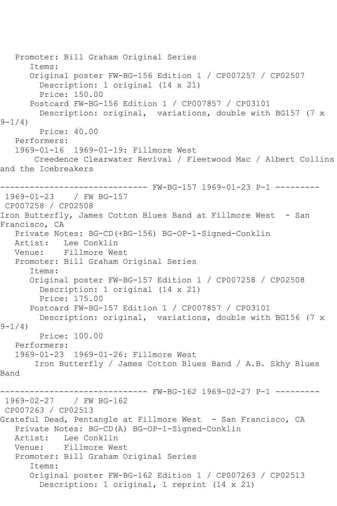```
 Promoter: Bill Graham Original Series
       Items:
       Original poster FW-BG-156 Edition 1 / CP007257 / CP02507
         Description: 1 original (14 x 21)
         Price: 150.00
       Postcard FW-BG-156 Edition 1 / CP007857 / CP03101
         Description: original, variations, double with BG157 (7 x 
9 - 1/4 Price: 40.00
   Performers:
   1969-01-16 1969-01-19: Fillmore West
       Creedence Clearwater Revival / Fleetwood Mac / Albert Collins 
and the Icebreakers
------------------------------ FW-BG-157 1969-01-23 P-1 ---------
1969-01-23 / FW BG-157
CP007258 / CP02508
Iron Butterfly, James Cotton Blues Band at Fillmore West - San 
Francisco, CA
   Private Notes: BG-CD(+BG-156) BG-OP-1-Signed-Conklin
   Artist: Lee Conklin
   Venue: Fillmore West
   Promoter: Bill Graham Original Series
       Items:
       Original poster FW-BG-157 Edition 1 / CP007258 / CP02508
         Description: 1 original (14 x 21)
         Price: 175.00
       Postcard FW-BG-157 Edition 1 / CP007857 / CP03101
         Description: original, variations, double with BG156 (7 x 
9 - 1/4)
        Price: 100.00
   Performers:
   1969-01-23 1969-01-26: Fillmore West
        Iron Butterfly / James Cotton Blues Band / A.B. Skhy Blues 
Band
------------------------------ FW-BG-162 1969-02-27 P-1 ---------
1969-02-27 / FW BG-162
CP007263 / CP02513
Grateful Dead, Pentangle at Fillmore West - San Francisco, CA
   Private Notes: BG-CD(A) BG-OP-1-Signed-Conklin
   Artist: Lee Conklin
   Venue: Fillmore West
   Promoter: Bill Graham Original Series
       Items:
       Original poster FW-BG-162 Edition 1 / CP007263 / CP02513
         Description: 1 original, 1 reprint (14 x 21)
```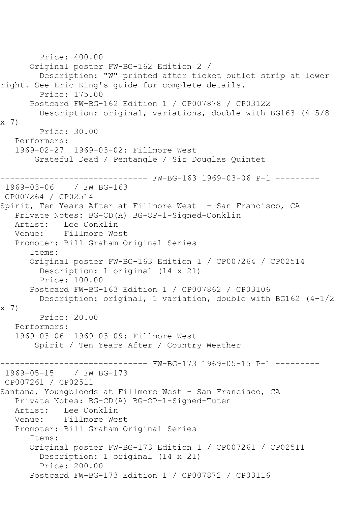```
 Price: 400.00
       Original poster FW-BG-162 Edition 2 / 
         Description: "W" printed after ticket outlet strip at lower 
right. See Eric King's guide for complete details.
         Price: 175.00
       Postcard FW-BG-162 Edition 1 / CP007878 / CP03122
         Description: original, variations, double with BG163 (4-5/8 
x 7)
         Price: 30.00
   Performers:
   1969-02-27 1969-03-02: Fillmore West
        Grateful Dead / Pentangle / Sir Douglas Quintet
------------------------------ FW-BG-163 1969-03-06 P-1 ---------
1969-03-06 / FW BG-163
CP007264 / CP02514
Spirit, Ten Years After at Fillmore West - San Francisco, CA
   Private Notes: BG-CD(A) BG-OP-1-Signed-Conklin
   Artist: Lee Conklin
   Venue: Fillmore West
   Promoter: Bill Graham Original Series
       Items:
       Original poster FW-BG-163 Edition 1 / CP007264 / CP02514
         Description: 1 original (14 x 21)
         Price: 100.00
       Postcard FW-BG-163 Edition 1 / CP007862 / CP03106
         Description: original, 1 variation, double with BG162 (4-1/2 
x 7)
         Price: 20.00
   Performers:
   1969-03-06 1969-03-09: Fillmore West
        Spirit / Ten Years After / Country Weather
------------------------------ FW-BG-173 1969-05-15 P-1 ---------
1969-05-15 / FW BG-173
CP007261 / CP02511
Santana, Youngbloods at Fillmore West - San Francisco, CA
   Private Notes: BG-CD(A) BG-OP-1-Signed-Tuten
  Artist: Lee Conklin<br>Venue: Fillmore We
            Fillmore West
   Promoter: Bill Graham Original Series
       Items:
       Original poster FW-BG-173 Edition 1 / CP007261 / CP02511
         Description: 1 original (14 x 21)
         Price: 200.00
       Postcard FW-BG-173 Edition 1 / CP007872 / CP03116
```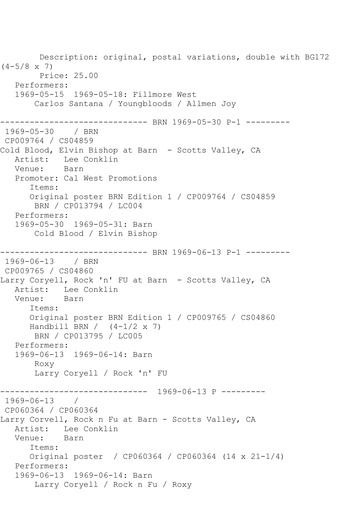Description: original, postal variations, double with BG172  $(4-5/8 \times 7)$  Price: 25.00 Performers: 1969-05-15 1969-05-18: Fillmore West Carlos Santana / Youngbloods / Allmen Joy ------------------------------ BRN 1969-05-30 P-1 --------- 1969-05-30 / BRN CP009764 / CS04859 Cold Blood, Elvin Bishop at Barn - Scotts Valley, CA Artist: Lee Conklin<br>Venue: Barn Venue: Promoter: Cal West Promotions Items: Original poster BRN Edition 1 / CP009764 / CS04859 BRN / CP013794 / LC004 Performers: 1969-05-30 1969-05-31: Barn Cold Blood / Elvin Bishop ------------------- BRN 1969-06-13 P-1 ---------1969-06-13 / BRN CP009765 / CS04860 Larry Coryell, Rock 'n' FU at Barn - Scotts Valley, CA Artist: Lee Conklin Venue: Barn Items: Original poster BRN Edition 1 / CP009765 / CS04860 Handbill BRN  $/(4-1/2 \times 7)$  BRN / CP013795 / LC005 Performers: 1969-06-13 1969-06-14: Barn Roxy Larry Coryell / Rock 'n' FU ------------------------------ 1969-06-13 P --------- 1969-06-13 / CP060364 / CP060364 Larry Corvell, Rock n Fu at Barn - Scotts Valley, CA Artist: Lee Conklin Venue: Barn Items: Original poster / CP060364 / CP060364 (14 x 21-1/4) Performers: 1969-06-13 1969-06-14: Barn Larry Coryell / Rock n Fu / Roxy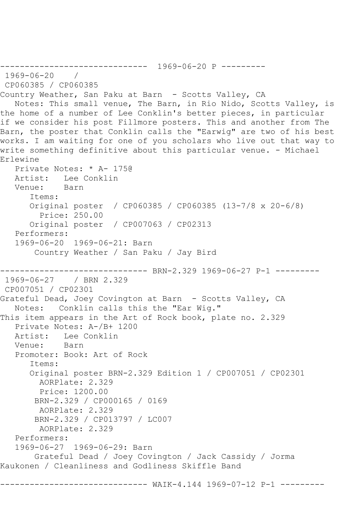```
------------------------------ 1969-06-20 P ---------
1969-06-20 / 
CP060385 / CP060385
Country Weather, San Paku at Barn - Scotts Valley, CA
   Notes: This small venue, The Barn, in Rio Nido, Scotts Valley, is 
the home of a number of Lee Conklin's better pieces, in particular 
if we consider his post Fillmore posters. This and another from The 
Barn, the poster that Conklin calls the "Earwig" are two of his best 
works. I am waiting for one of you scholars who live out that way to 
write something definitive about this particular venue. - Michael 
Erlewine
   Private Notes: * A- 175@
   Artist: Lee Conklin
   Venue: Barn
       Items:
      Original poster / CP060385 / CP060385 (13-7/8 x 20-6/8)
         Price: 250.00
       Original poster / CP007063 / CP02313
   Performers:
   1969-06-20 1969-06-21: Barn
        Country Weather / San Paku / Jay Bird
------------------------------ BRN-2.329 1969-06-27 P-1 ---------
1969-06-27 / BRN 2.329
CP007051 / CP02301
Grateful Dead, Joey Covington at Barn - Scotts Valley, CA
   Notes: Conklin calls this the "Ear Wig."
This item appears in the Art of Rock book, plate no. 2.329
   Private Notes: A-/B+ 1200
  Artist: Lee Conklin<br>Venue: Barn
  Venue:
   Promoter: Book: Art of Rock
       Items:
       Original poster BRN-2.329 Edition 1 / CP007051 / CP02301
        AORPlate: 2.329 
         Price: 1200.00
        BRN-2.329 / CP000165 / 0169
        AORPlate: 2.329 
        BRN-2.329 / CP013797 / LC007
         AORPlate: 2.329 
   Performers:
   1969-06-27 1969-06-29: Barn
        Grateful Dead / Joey Covington / Jack Cassidy / Jorma 
Kaukonen / Cleanliness and Godliness Skiffle Band
                  ------------------------------ WAIK-4.144 1969-07-12 P-1 ---------
```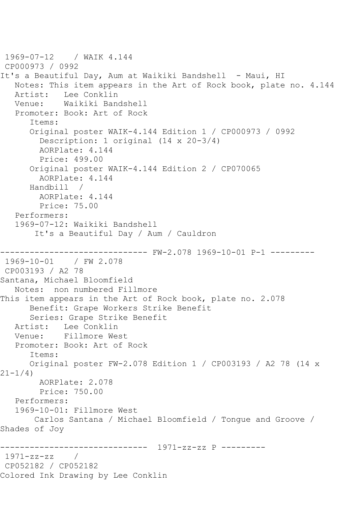```
1969-07-12 / WAIK 4.144
CP000973 / 0992
It's a Beautiful Day, Aum at Waikiki Bandshell - Maui, HI
   Notes: This item appears in the Art of Rock book, plate no. 4.144
    Artist: Lee Conklin
   Venue: Waikiki Bandshell
    Promoter: Book: Art of Rock
       Items:
       Original poster WAIK-4.144 Edition 1 / CP000973 / 0992
         Description: 1 original (14 x 20-3/4)
         AORPlate: 4.144 
         Price: 499.00
       Original poster WAIK-4.144 Edition 2 / CP070065
         AORPlate: 4.144 
       Handbill / 
         AORPlate: 4.144 
         Price: 75.00
    Performers:
    1969-07-12: Waikiki Bandshell
        It's a Beautiful Day / Aum / Cauldron
                    ------------------------------ FW-2.078 1969-10-01 P-1 ---------
1969-10-01 / FW 2.078
CP003193 / A2 78
Santana, Michael Bloomfield
   Notes: non numbered Fillmore
This item appears in the Art of Rock book, plate no. 2.078
       Benefit: Grape Workers Strike Benefit
       Series: Grape Strike Benefit
   Artist: Lee Conklin
   Venue: Fillmore West
    Promoter: Book: Art of Rock
       Items:
       Original poster FW-2.078 Edition 1 / CP003193 / A2 78 (14 x 
21-1/4)
        AORPlate: 2.078 
         Price: 750.00
    Performers:
    1969-10-01: Fillmore West
        Carlos Santana / Michael Bloomfield / Tongue and Groove / 
Shades of Joy
                ------------------------------ 1971-zz-zz P ---------
1971-zz-zz / 
CP052182 / CP052182
Colored Ink Drawing by Lee Conklin
```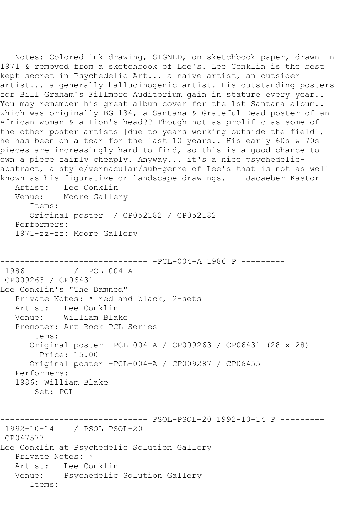```
 Notes: Colored ink drawing, SIGNED, on sketchbook paper, drawn in 
1971 & removed from a sketchbook of Lee's. Lee Conklin is the best 
kept secret in Psychedelic Art... a naive artist, an outsider 
artist... a generally hallucinogenic artist. His outstanding posters 
for Bill Graham's Fillmore Auditorium gain in stature every year.. 
You may remember his great album cover for the 1st Santana album..
which was originally BG 134, a Santana & Grateful Dead poster of an 
African woman & a Lion's head?? Though not as prolific as some of 
the other poster artists [due to years working outside the field], 
he has been on a tear for the last 10 years.. His early 60s & 70s 
pieces are increasingly hard to find, so this is a good chance to 
own a piece fairly cheaply. Anyway... it's a nice psychedelic-
abstract, a style/vernacular/sub-genre of Lee's that is not as well 
known as his figurative or landscape drawings. -- Jacaeber Kastor
   Artist: Lee Conklin
   Venue: Moore Gallery
      Items:
      Original poster / CP052182 / CP052182
   Performers:
   1971-zz-zz: Moore Gallery
------------------------------ -PCL-004-A 1986 P ---------
            / PCL-004-A
CP009263 / CP06431
Lee Conklin's "The Damned"
   Private Notes: * red and black, 2-sets
   Artist: Lee Conklin
   Venue: William Blake
   Promoter: Art Rock PCL Series
      Items:
      Original poster -PCL-004-A / CP009263 / CP06431 (28 x 28)
         Price: 15.00
      Original poster -PCL-004-A / CP009287 / CP06455
   Performers:
   1986: William Blake
       Set: PCL
------------------------------ PSOL-PSOL-20 1992-10-14 P ---------
1992-10-14 / PSOL PSOL-20
CP047577
Lee Conklin at Psychedelic Solution Gallery
   Private Notes: *
   Artist: Lee Conklin
   Venue: Psychedelic Solution Gallery
      Items:
```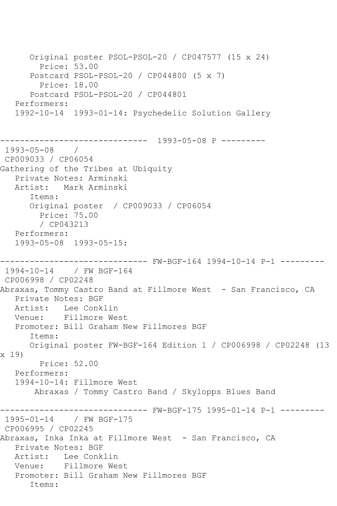Original poster PSOL-PSOL-20 / CP047577 (15 x 24) Price: 53.00 Postcard PSOL-PSOL-20 / CP044800 (5 x 7) Price: 18.00 Postcard PSOL-PSOL-20 / CP044801 Performers: 1992-10-14 1993-01-14: Psychedelic Solution Gallery ------------------------------ 1993-05-08 P --------- 1993-05-08 / CP009033 / CP06054 Gathering of the Tribes at Ubiquity Private Notes: Arminski Artist: Mark Arminski Items: Original poster / CP009033 / CP06054 Price: 75.00 / CP043213 Performers: 1993-05-08 1993-05-15: ------------------------------ FW-BGF-164 1994-10-14 P-1 --------- 1994-10-14 / FW BGF-164 CP006998 / CP02248 Abraxas, Tommy Castro Band at Fillmore West - San Francisco, CA Private Notes: BGF Artist: Lee Conklin Venue: Fillmore West Promoter: Bill Graham New Fillmores BGF Items: Original poster FW-BGF-164 Edition 1 / CP006998 / CP02248 (13 x 19) Price: 52.00 Performers: 1994-10-14: Fillmore West Abraxas / Tommy Castro Band / Skylopps Blues Band ------------------------------ FW-BGF-175 1995-01-14 P-1 --------- 1995-01-14 / FW BGF-175 CP006995 / CP02245 Abraxas, Inka Inka at Fillmore West - San Francisco, CA Private Notes: BGF Artist: Lee Conklin Venue: Fillmore West Promoter: Bill Graham New Fillmores BGF Items: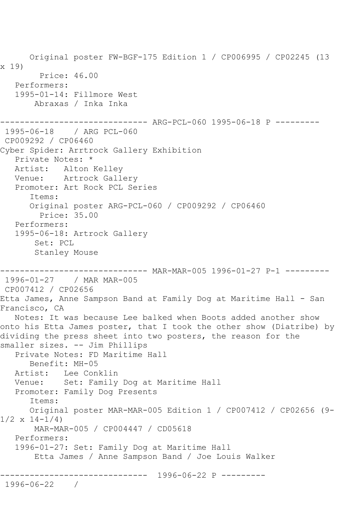Original poster FW-BGF-175 Edition 1 / CP006995 / CP02245 (13 x 19) Price: 46.00 Performers: 1995-01-14: Fillmore West Abraxas / Inka Inka ------------------------------ ARG-PCL-060 1995-06-18 P --------- 1995-06-18 / ARG PCL-060 CP009292 / CP06460 Cyber Spider: Arrtrock Gallery Exhibition Private Notes: \* Artist: Alton Kelley Venue: Artrock Gallery Promoter: Art Rock PCL Series Items: Original poster ARG-PCL-060 / CP009292 / CP06460 Price: 35.00 Performers: 1995-06-18: Artrock Gallery Set: PCL Stanley Mouse ------------------------------ MAR-MAR-005 1996-01-27 P-1 --------- 1996-01-27 / MAR MAR-005 CP007412 / CP02656 Etta James, Anne Sampson Band at Family Dog at Maritime Hall - San Francisco, CA Notes: It was because Lee balked when Boots added another show onto his Etta James poster, that I took the other show (Diatribe) by dividing the press sheet into two posters, the reason for the smaller sizes. -- Jim Phillips Private Notes: FD Maritime Hall Benefit: MH-05 Artist: Lee Conklin Venue: Set: Family Dog at Maritime Hall Promoter: Family Dog Presents Items: Original poster MAR-MAR-005 Edition 1 / CP007412 / CP02656 (9-  $1/2 \times 14 - 1/4$  MAR-MAR-005 / CP004447 / CD05618 Performers: 1996-01-27: Set: Family Dog at Maritime Hall Etta James / Anne Sampson Band / Joe Louis Walker ------------------------------ 1996-06-22 P --------- 1996-06-22 /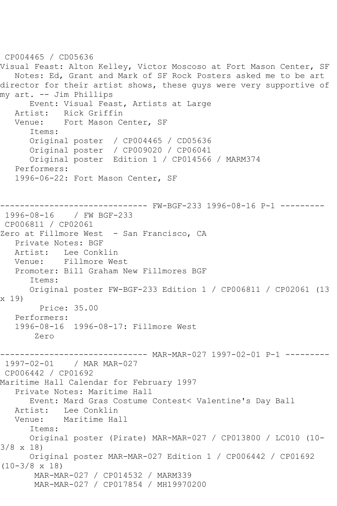CP004465 / CD05636 Visual Feast: Alton Kelley, Victor Moscoso at Fort Mason Center, SF Notes: Ed, Grant and Mark of SF Rock Posters asked me to be art director for their artist shows, these guys were very supportive of my art. -- Jim Phillips Event: Visual Feast, Artists at Large Artist: Rick Griffin Venue: Fort Mason Center, SF Items: Original poster / CP004465 / CD05636 Original poster / CP009020 / CP06041 Original poster Edition 1 / CP014566 / MARM374 Performers: 1996-06-22: Fort Mason Center, SF ------------------------------ FW-BGF-233 1996-08-16 P-1 --------- 1996-08-16 / FW BGF-233 CP006811 / CP02061 Zero at Fillmore West - San Francisco, CA Private Notes: BGF Artist: Lee Conklin Venue: Fillmore West Promoter: Bill Graham New Fillmores BGF Items: Original poster FW-BGF-233 Edition 1 / CP006811 / CP02061 (13 x 19) Price: 35.00 Performers: 1996-08-16 1996-08-17: Fillmore West Zero ------------------------------ MAR-MAR-027 1997-02-01 P-1 --------- 1997-02-01 / MAR MAR-027 CP006442 / CP01692 Maritime Hall Calendar for February 1997 Private Notes: Maritime Hall Event: Mard Gras Costume Contest< Valentine's Day Ball Artist: Lee Conklin<br>Venue: Maritime Ha Maritime Hall Items: Original poster (Pirate) MAR-MAR-027 / CP013800 / LC010 (10- 3/8 x 18) Original poster MAR-MAR-027 Edition 1 / CP006442 / CP01692 (10-3/8 x 18) MAR-MAR-027 / CP014532 / MARM339 MAR-MAR-027 / CP017854 / MH19970200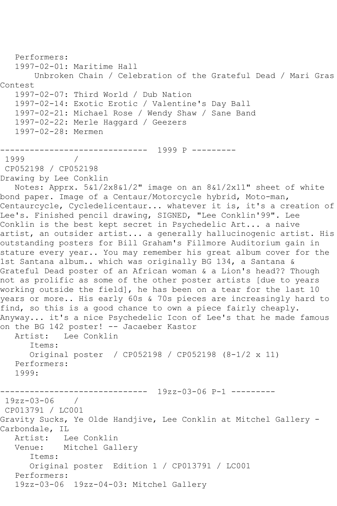```
 Performers:
   1997-02-01: Maritime Hall
       Unbroken Chain / Celebration of the Grateful Dead / Mari Gras 
Contest
   1997-02-07: Third World / Dub Nation
   1997-02-14: Exotic Erotic / Valentine's Day Ball
   1997-02-21: Michael Rose / Wendy Shaw / Sane Band
   1997-02-22: Merle Haggard / Geezers
   1997-02-28: Mermen
------------------------------ 1999 P ---------
1999 / 
CP052198 / CP052198
Drawing by Lee Conklin
   Notes: Apprx. 5&1/2x8&1/2" image on an 8&1/2x11" sheet of white 
bond paper. Image of a Centaur/Motorcycle hybrid, Moto-man, 
Centaurcycle, Cycledelicentaur... whatever it is, it's a creation of 
Lee's. Finished pencil drawing, SIGNED, "Lee Conklin'99". Lee 
Conklin is the best kept secret in Psychedelic Art... a naive 
artist, an outsider artist... a generally hallucinogenic artist. His 
outstanding posters for Bill Graham's Fillmore Auditorium gain in 
stature every year.. You may remember his great album cover for the 
1st Santana album.. which was originally BG 134, a Santana & 
Grateful Dead poster of an African woman & a Lion's head?? Though 
not as prolific as some of the other poster artists [due to years 
working outside the field], he has been on a tear for the last 10 
years or more.. His early 60s & 70s pieces are increasingly hard to 
find, so this is a good chance to own a piece fairly cheaply. 
Anyway... it's a nice Psychedelic Icon of Lee's that he made famous 
on the BG 142 poster! -- Jacaeber Kastor
   Artist: Lee Conklin
      Items:
      Original poster / CP052198 / CP052198 (8-1/2 x 11)
   Performers:
   1999:
------------------------------ 19zz-03-06 P-1 ---------
19zz-03-06 / 
CP013791 / LC001
Gravity Sucks, Ye Olde Handjive, Lee Conklin at Mitchel Gallery -
Carbondale, IL
   Artist: Lee Conklin
   Venue: Mitchel Gallery
      Items:
      Original poster Edition 1 / CP013791 / LC001
   Performers:
   19zz-03-06 19zz-04-03: Mitchel Gallery
```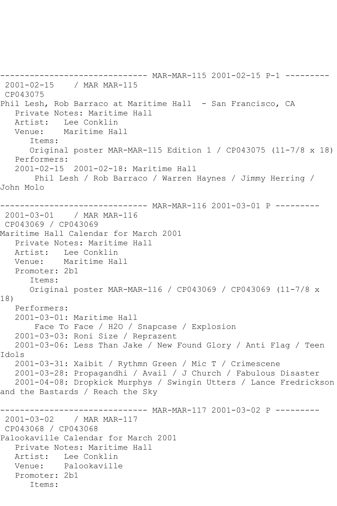------------------------------ MAR-MAR-115 2001-02-15 P-1 --------- 2001-02-15 / MAR MAR-115 CP043075 Phil Lesh, Rob Barraco at Maritime Hall - San Francisco, CA Private Notes: Maritime Hall Artist: Lee Conklin Venue: Maritime Hall Items: Original poster MAR-MAR-115 Edition 1 / CP043075 (11-7/8 x 18) Performers: 2001-02-15 2001-02-18: Maritime Hall Phil Lesh / Rob Barraco / Warren Haynes / Jimmy Herring / John Molo ------------------------------ MAR-MAR-116 2001-03-01 P --------- 2001-03-01 / MAR MAR-116 CP043069 / CP043069 Maritime Hall Calendar for March 2001 Private Notes: Maritime Hall Artist: Lee Conklin Venue: Maritime Hall Promoter: 2b1 Items: Original poster MAR-MAR-116 / CP043069 / CP043069 (11-7/8 x 18) Performers: 2001-03-01: Maritime Hall Face To Face / H2O / Snapcase / Explosion 2001-03-03: Roni Size / Reprazent 2001-03-06: Less Than Jake / New Found Glory / Anti Flag / Teen Idols 2001-03-31: Xaibit / Rythmn Green / Mic T / Crimescene 2001-03-28: Propagandhi / Avail / J Church / Fabulous Disaster 2001-04-08: Dropkick Murphys / Swingin Utters / Lance Fredrickson and the Bastards / Reach the Sky ------------------------------ MAR-MAR-117 2001-03-02 P --------- 2001-03-02 / MAR MAR-117 CP043068 / CP043068 Palookaville Calendar for March 2001 Private Notes: Maritime Hall Artist: Lee Conklin Venue: Palookaville Promoter: 2b1 Items: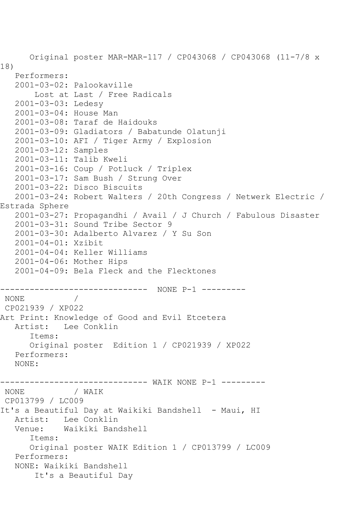Original poster MAR-MAR-117 / CP043068 / CP043068 (11-7/8 x 18) Performers: 2001-03-02: Palookaville Lost at Last / Free Radicals 2001-03-03: Ledesy 2001-03-04: House Man 2001-03-08: Taraf de Haidouks 2001-03-09: Gladiators / Babatunde Olatunji 2001-03-10: AFI / Tiger Army / Explosion 2001-03-12: Samples 2001-03-11: Talib Kweli 2001-03-16: Coup / Potluck / Triplex 2001-03-17: Sam Bush / Strung Over 2001-03-22: Disco Biscuits 2001-03-24: Robert Walters / 20th Congress / Netwerk Electric / Estrada Sphere 2001-03-27: Propagandhi / Avail / J Church / Fabulous Disaster 2001-03-31: Sound Tribe Sector 9 2001-03-30: Adalberto Alvarez / Y Su Son 2001-04-01: Xzibit 2001-04-04: Keller Williams 2001-04-06: Mother Hips 2001-04-09: Bela Fleck and the Flecktones ------------------------------ NONE P-1 --------- NONE / CP021939 / XP022 Art Print: Knowledge of Good and Evil Etcetera Artist: Lee Conklin Items: Original poster Edition 1 / CP021939 / XP022 Performers: NONE: ------------------------------ WAIK NONE P-1 --------- NONE / WAIK CP013799 / LC009 It's a Beautiful Day at Waikiki Bandshell - Maui, HI Artist: Lee Conklin Venue: Waikiki Bandshell Items: Original poster WAIK Edition 1 / CP013799 / LC009 Performers: NONE: Waikiki Bandshell It's a Beautiful Day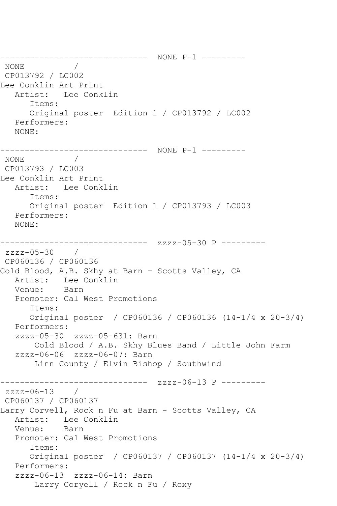------------------------------ NONE P-1 --------- NONE / CP013792 / LC002 Lee Conklin Art Print Artist: Lee Conklin Items: Original poster Edition 1 / CP013792 / LC002 Performers: NONE: ------------------------------ NONE P-1 --------- NONE / CP013793 / LC003 Lee Conklin Art Print Artist: Lee Conklin Items: Original poster Edition 1 / CP013793 / LC003 Performers: NONE: ------------------------------ zzzz-05-30 P -------- zzzz-05-30 / CP060136 / CP060136 Cold Blood, A.B. Skhy at Barn - Scotts Valley, CA Artist: Lee Conklin<br>Venue: Barn Venue: Promoter: Cal West Promotions Items: Original poster / CP060136 / CP060136 (14-1/4 x 20-3/4) Performers: zzzz-05-30 zzzz-05-631: Barn Cold Blood / A.B. Skhy Blues Band / Little John Farm zzzz-06-06 zzzz-06-07: Barn Linn County / Elvin Bishop / Southwind ------------------------------ zzzz-06-13 P -------- zzzz-06-13 / CP060137 / CP060137 Larry Corvell, Rock n Fu at Barn - Scotts Valley, CA Artist: Lee Conklin<br>Venue: Barn Venue: Promoter: Cal West Promotions Items: Original poster / CP060137 / CP060137 (14-1/4 x 20-3/4) Performers: zzzz-06-13 zzzz-06-14: Barn Larry Coryell / Rock n Fu / Roxy